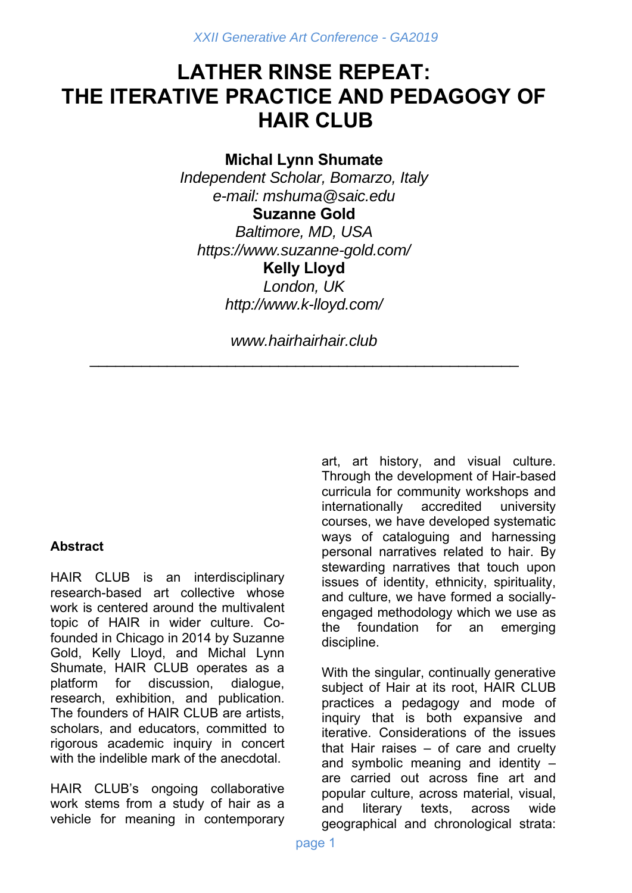# **LATHER RINSE REPEAT: THE ITERATIVE PRACTICE AND PEDAGOGY OF HAIR CLUB**

## **Michal Lynn Shumate**

*Independent Scholar, Bomarzo, Italy e-mail: mshuma@saic.edu* 

**Suzanne Gold**  *Baltimore, MD, USA https://www.suzanne-gold.com/*  **Kelly Lloyd**  *London, UK http://www.k-lloyd.com/* 

*www.hairhairhair.club*  \_\_\_\_\_\_\_\_\_\_\_\_\_\_\_\_\_\_\_\_\_\_\_\_\_\_\_\_\_\_\_\_\_\_\_\_\_\_\_\_\_\_\_\_\_\_\_\_\_\_

#### **Abstract**

HAIR CLUB is an interdisciplinary research-based art collective whose work is centered around the multivalent topic of HAIR in wider culture. Cofounded in Chicago in 2014 by Suzanne Gold, Kelly Lloyd, and Michal Lynn Shumate, HAIR CLUB operates as a platform for discussion, dialogue, research, exhibition, and publication. The founders of HAIR CLUB are artists, scholars, and educators, committed to rigorous academic inquiry in concert with the indelible mark of the anecdotal.

HAIR CLUB's ongoing collaborative work stems from a study of hair as a vehicle for meaning in contemporary

art, art history, and visual culture. Through the development of Hair-based curricula for community workshops and internationally accredited university courses, we have developed systematic ways of cataloguing and harnessing personal narratives related to hair. By stewarding narratives that touch upon issues of identity, ethnicity, spirituality, and culture, we have formed a sociallyengaged methodology which we use as the foundation for an emerging discipline.

With the singular, continually generative subject of Hair at its root, HAIR CLUB practices a pedagogy and mode of inquiry that is both expansive and iterative. Considerations of the issues that Hair raises – of care and cruelty and symbolic meaning and identity – are carried out across fine art and popular culture, across material, visual, and literary texts, across wide geographical and chronological strata: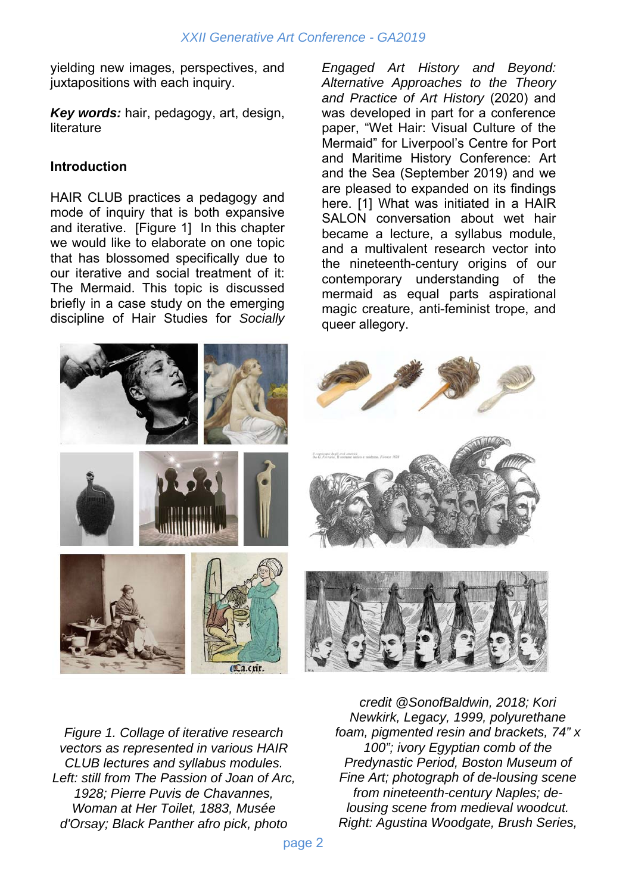yielding new images, perspectives, and juxtapositions with each inquiry.

*Key words:* hair, pedagogy, art, design, literature

#### **Introduction**

HAIR CLUB practices a pedagogy and mode of inquiry that is both expansive and iterative. [Figure 1] In this chapter we would like to elaborate on one topic that has blossomed specifically due to our iterative and social treatment of it: The Mermaid. This topic is discussed briefly in a case study on the emerging discipline of Hair Studies for *Socially* 

*Engaged Art History and Beyond: Alternative Approaches to the Theory and Practice of Art History* (2020) and was developed in part for a conference paper, "Wet Hair: Visual Culture of the Mermaid" for Liverpool's Centre for Port and Maritime History Conference: Art and the Sea (September 2019) and we are pleased to expanded on its findings here. [1] What was initiated in a HAIR SALON conversation about wet hair became a lecture, a syllabus module, and a multivalent research vector into the nineteenth-century origins of our contemporary understanding of the mermaid as equal parts aspirational magic creature, anti-feminist trope, and queer allegory.



*Figure 1. Collage of iterative research vectors as represented in various HAIR CLUB lectures and syllabus modules. Left: still from The Passion of Joan of Arc, 1928; Pierre Puvis de Chavannes, Woman at Her Toilet, 1883, Musée d'Orsay; Black Panther afro pick, photo* 

*credit @SonofBaldwin, 2018; Kori Newkirk, Legacy, 1999, polyurethane foam, pigmented resin and brackets, 74" x 100"; ivory Egyptian comb of the Predynastic Period, Boston Museum of Fine Art; photograph of de-lousing scene from nineteenth-century Naples; delousing scene from medieval woodcut. Right: Agustina Woodgate, Brush Series,*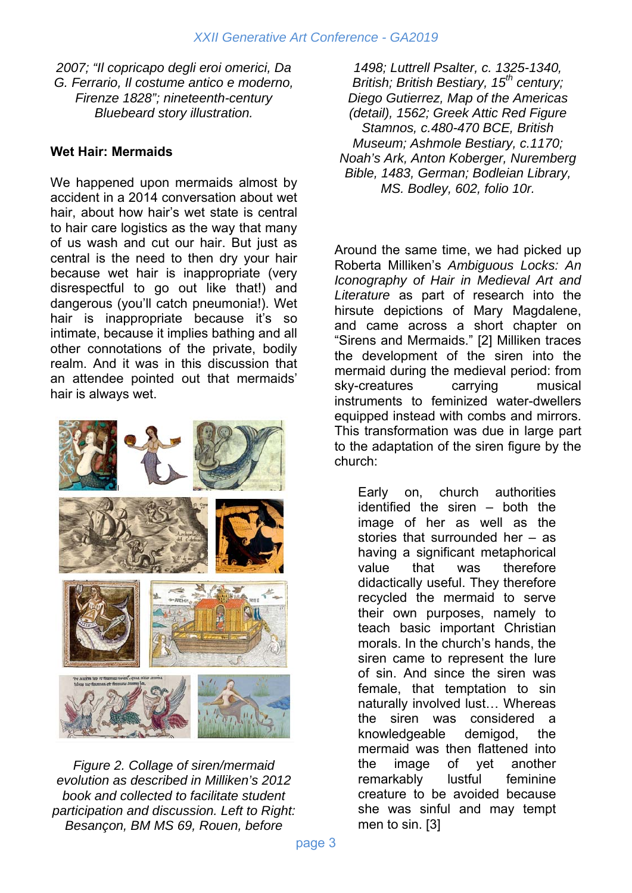*2007; "Il copricapo degli eroi omerici, Da G. Ferrario, Il costume antico e moderno, Firenze 1828"; nineteenth-century Bluebeard story illustration.* 

#### **Wet Hair: Mermaids**

We happened upon mermaids almost by accident in a 2014 conversation about wet hair, about how hair's wet state is central to hair care logistics as the way that many of us wash and cut our hair. But just as central is the need to then dry your hair because wet hair is inappropriate (very disrespectful to go out like that!) and dangerous (you'll catch pneumonia!). Wet hair is inappropriate because it's so intimate, because it implies bathing and all other connotations of the private, bodily realm. And it was in this discussion that an attendee pointed out that mermaids' hair is always wet.



*Figure 2. Collage of siren/mermaid evolution as described in Milliken's 2012 book and collected to facilitate student participation and discussion. Left to Right: Besançon, BM MS 69, Rouen, before* 

*1498; Luttrell Psalter, c. 1325-1340, British; British Bestiary, 15th century; Diego Gutierrez, Map of the Americas (detail), 1562; Greek Attic Red Figure Stamnos, c.480-470 BCE, British Museum; Ashmole Bestiary, c.1170; Noah's Ark, Anton Koberger, Nuremberg Bible, 1483, German; Bodleian Library, MS. Bodley, 602, folio 10r.* 

Around the same time, we had picked up Roberta Milliken's *Ambiguous Locks: An Iconography of Hair in Medieval Art and Literature* as part of research into the hirsute depictions of Mary Magdalene, and came across a short chapter on "Sirens and Mermaids." [2] Milliken traces the development of the siren into the mermaid during the medieval period: from sky-creatures carrying musical instruments to feminized water-dwellers equipped instead with combs and mirrors. This transformation was due in large part to the adaptation of the siren figure by the church:

Early on, church authorities identified the siren – both the image of her as well as the stories that surrounded her – as having a significant metaphorical value that was therefore didactically useful. They therefore recycled the mermaid to serve their own purposes, namely to teach basic important Christian morals. In the church's hands, the siren came to represent the lure of sin. And since the siren was female, that temptation to sin naturally involved lust… Whereas the siren was considered a knowledgeable demigod, the mermaid was then flattened into the image of yet another remarkably lustful feminine creature to be avoided because she was sinful and may tempt men to sin. [3]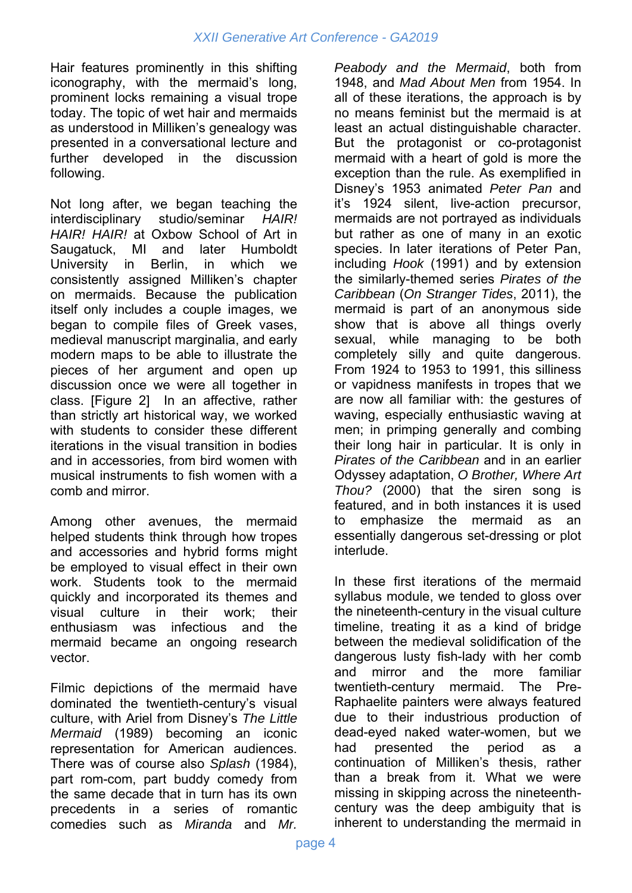Hair features prominently in this shifting iconography, with the mermaid's long, prominent locks remaining a visual trope today. The topic of wet hair and mermaids as understood in Milliken's genealogy was presented in a conversational lecture and further developed in the discussion following.

Not long after, we began teaching the interdisciplinary studio/seminar *HAIR! HAIR! HAIR!* at Oxbow School of Art in Saugatuck, MI and later Humboldt University in Berlin, in which we consistently assigned Milliken's chapter on mermaids. Because the publication itself only includes a couple images, we began to compile files of Greek vases, medieval manuscript marginalia, and early modern maps to be able to illustrate the pieces of her argument and open up discussion once we were all together in class. [Figure 2] In an affective, rather than strictly art historical way, we worked with students to consider these different iterations in the visual transition in bodies and in accessories, from bird women with musical instruments to fish women with a comb and mirror.

Among other avenues, the mermaid helped students think through how tropes and accessories and hybrid forms might be employed to visual effect in their own work. Students took to the mermaid quickly and incorporated its themes and visual culture in their work; their enthusiasm was infectious and the mermaid became an ongoing research vector.

Filmic depictions of the mermaid have dominated the twentieth-century's visual culture, with Ariel from Disney's *The Little Mermaid* (1989) becoming an iconic representation for American audiences. There was of course also *Splash* (1984), part rom-com, part buddy comedy from the same decade that in turn has its own precedents in a series of romantic comedies such as *Miranda* and *Mr.* 

*Peabody and the Mermaid*, both from 1948, and *Mad About Men* from 1954. In all of these iterations, the approach is by no means feminist but the mermaid is at least an actual distinguishable character. But the protagonist or co-protagonist mermaid with a heart of gold is more the exception than the rule. As exemplified in Disney's 1953 animated *Peter Pan* and it's 1924 silent, live-action precursor, mermaids are not portrayed as individuals but rather as one of many in an exotic species. In later iterations of Peter Pan, including *Hook* (1991) and by extension the similarly-themed series *Pirates of the Caribbean* (*On Stranger Tides*, 2011), the mermaid is part of an anonymous side show that is above all things overly sexual, while managing to be both completely silly and quite dangerous. From 1924 to 1953 to 1991, this silliness or vapidness manifests in tropes that we are now all familiar with: the gestures of waving, especially enthusiastic waving at men; in primping generally and combing their long hair in particular. It is only in *Pirates of the Caribbean* and in an earlier Odyssey adaptation, *O Brother, Where Art Thou?* (2000) that the siren song is featured, and in both instances it is used to emphasize the mermaid as an essentially dangerous set-dressing or plot interlude.

In these first iterations of the mermaid syllabus module, we tended to gloss over the nineteenth-century in the visual culture timeline, treating it as a kind of bridge between the medieval solidification of the dangerous lusty fish-lady with her comb and mirror and the more familiar twentieth-century mermaid. The Pre-Raphaelite painters were always featured due to their industrious production of dead-eyed naked water-women, but we had presented the period as a continuation of Milliken's thesis, rather than a break from it. What we were missing in skipping across the nineteenthcentury was the deep ambiguity that is inherent to understanding the mermaid in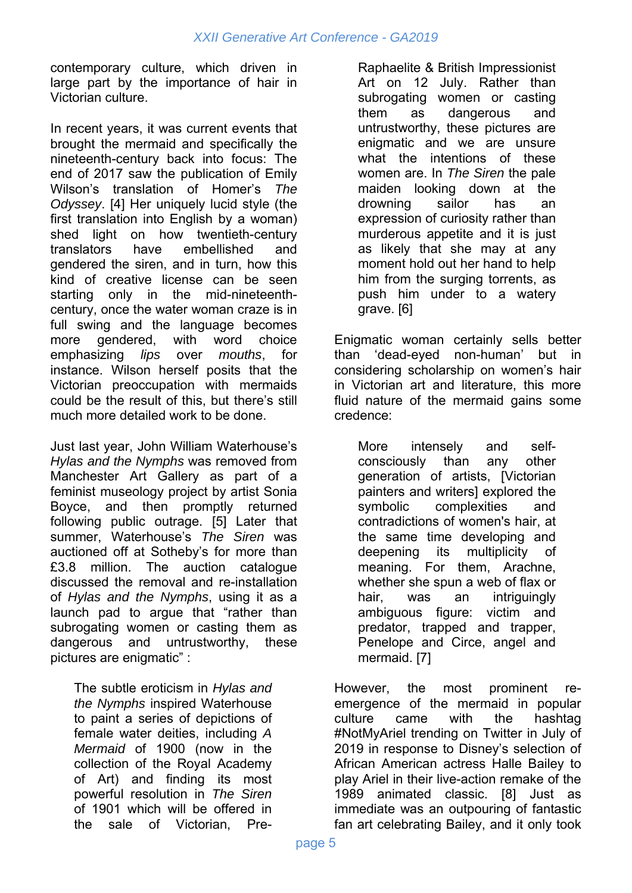contemporary culture, which driven in large part by the importance of hair in Victorian culture.

In recent years, it was current events that brought the mermaid and specifically the nineteenth-century back into focus: The end of 2017 saw the publication of Emily Wilson's translation of Homer's *The Odyssey*. [4] Her uniquely lucid style (the first translation into English by a woman) shed light on how twentieth-century translators have embellished and gendered the siren, and in turn, how this kind of creative license can be seen starting only in the mid-nineteenthcentury, once the water woman craze is in full swing and the language becomes more gendered, with word choice emphasizing *lips* over *mouths*, for instance. Wilson herself posits that the Victorian preoccupation with mermaids could be the result of this, but there's still much more detailed work to be done.

Just last year, John William Waterhouse's *Hylas and the Nymphs* was removed from Manchester Art Gallery as part of a feminist museology project by artist Sonia Boyce, and then promptly returned following public outrage. [5] Later that summer, Waterhouse's *The Siren* was auctioned off at Sotheby's for more than £3.8 million. The auction catalogue discussed the removal and re-installation of *Hylas and the Nymphs*, using it as a launch pad to argue that "rather than subrogating women or casting them as dangerous and untrustworthy, these pictures are enigmatic" :

The subtle eroticism in *Hylas and the Nymphs* inspired Waterhouse to paint a series of depictions of female water deities, including *A Mermaid* of 1900 (now in the collection of the Royal Academy of Art) and finding its most powerful resolution in *The Siren* of 1901 which will be offered in the sale of Victorian, PreRaphaelite & British Impressionist Art on 12 July. Rather than subrogating women or casting them as dangerous and untrustworthy, these pictures are enigmatic and we are unsure what the intentions of these women are. In *The Siren* the pale maiden looking down at the drowning sailor has an expression of curiosity rather than murderous appetite and it is just as likely that she may at any moment hold out her hand to help him from the surging torrents, as push him under to a watery grave. [6]

Enigmatic woman certainly sells better than 'dead-eyed non-human' but in considering scholarship on women's hair in Victorian art and literature, this more fluid nature of the mermaid gains some credence:

More intensely and selfconsciously than any other generation of artists, [Victorian painters and writers] explored the symbolic complexities and contradictions of women's hair, at the same time developing and deepening its multiplicity of meaning. For them, Arachne, whether she spun a web of flax or hair, was an intriguingly ambiguous figure: victim and predator, trapped and trapper, Penelope and Circe, angel and mermaid. [7]

However, the most prominent reemergence of the mermaid in popular culture came with the hashtag #NotMyAriel trending on Twitter in July of 2019 in response to Disney's selection of African American actress Halle Bailey to play Ariel in their live-action remake of the 1989 animated classic. [8] Just as immediate was an outpouring of fantastic fan art celebrating Bailey, and it only took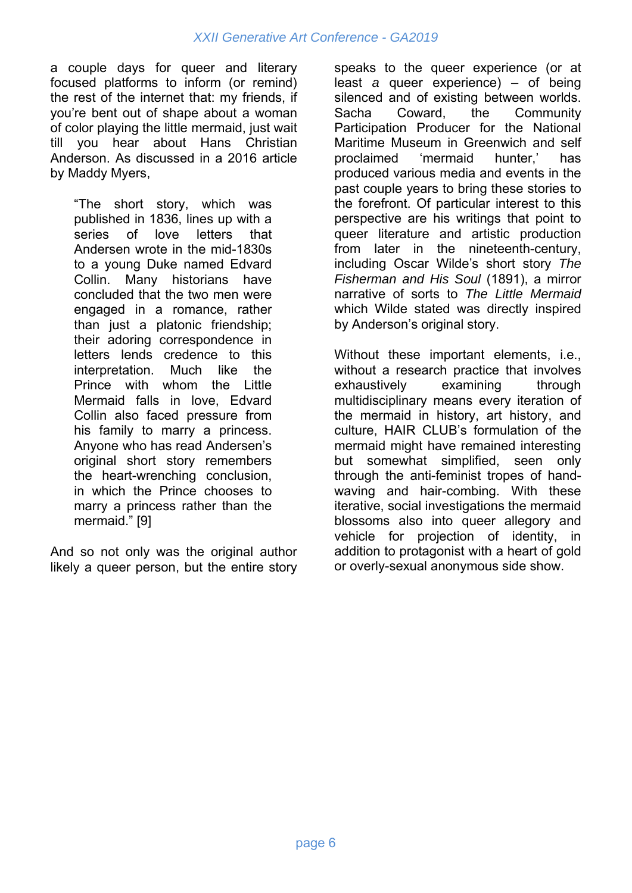a couple days for queer and literary focused platforms to inform (or remind) the rest of the internet that: my friends, if you're bent out of shape about a woman of color playing the little mermaid, just wait till you hear about Hans Christian Anderson. As discussed in a 2016 article by Maddy Myers,

"The short story, which was published in 1836, lines up with a series of love letters that Andersen wrote in the mid-1830s to a young Duke named Edvard Collin. Many historians have concluded that the two men were engaged in a romance, rather than just a platonic friendship; their adoring correspondence in letters lends credence to this interpretation. Much like the Prince with whom the Little Mermaid falls in love, Edvard Collin also faced pressure from his family to marry a princess. Anyone who has read Andersen's original short story remembers the heart-wrenching conclusion, in which the Prince chooses to marry a princess rather than the mermaid." [9]

And so not only was the original author likely a queer person, but the entire story

speaks to the queer experience (or at least *a* queer experience) – of being silenced and of existing between worlds. Sacha Coward, the Community Participation Producer for the National Maritime Museum in Greenwich and self proclaimed 'mermaid hunter,' has produced various media and events in the past couple years to bring these stories to the forefront. Of particular interest to this perspective are his writings that point to queer literature and artistic production from later in the nineteenth-century, including Oscar Wilde's short story *The Fisherman and His Soul* (1891), a mirror narrative of sorts to *The Little Mermaid* which Wilde stated was directly inspired by Anderson's original story.

Without these important elements, i.e., without a research practice that involves exhaustively examining through multidisciplinary means every iteration of the mermaid in history, art history, and culture, HAIR CLUB's formulation of the mermaid might have remained interesting but somewhat simplified, seen only through the anti-feminist tropes of handwaving and hair-combing. With these iterative, social investigations the mermaid blossoms also into queer allegory and vehicle for projection of identity, in addition to protagonist with a heart of gold or overly-sexual anonymous side show.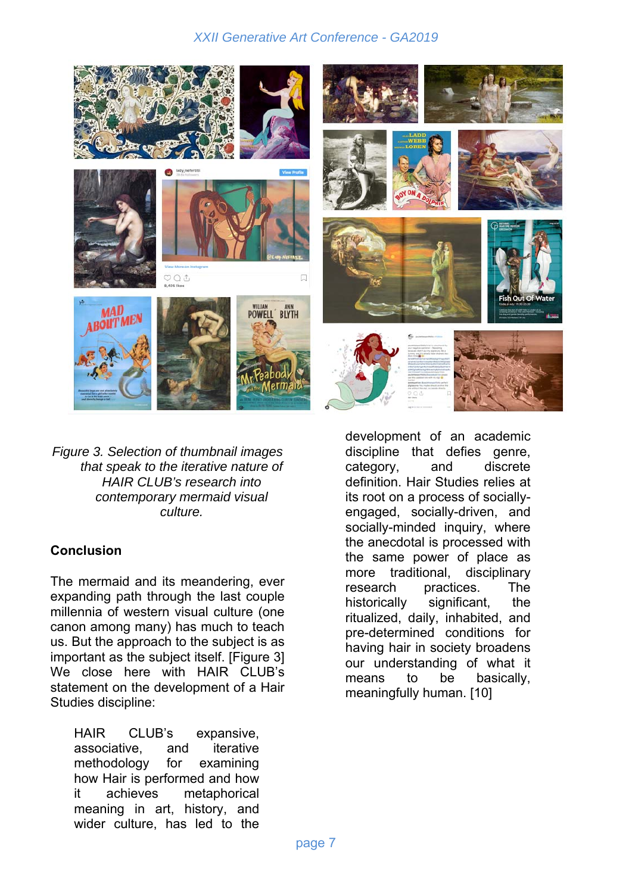

*Figure 3. Selection of thumbnail images that speak to the iterative nature of HAIR CLUB's research into contemporary mermaid visual culture.*

#### **Conclusion**

The mermaid and its meandering, ever expanding path through the last couple millennia of western visual culture (one canon among many) has much to teach us. But the approach to the subject is as important as the subject itself. [Figure 3] We close here with HAIR CLUB's statement on the development of a Hair Studies discipline:

HAIR CLUB's expansive, associative, and iterative methodology for examining how Hair is performed and how it achieves metaphorical meaning in art, history, and wider culture, has led to the development of an academic discipline that defies genre, category, and discrete definition. Hair Studies relies at its root on a process of sociallyengaged, socially-driven, and socially-minded inquiry, where the anecdotal is processed with the same power of place as more traditional, disciplinary research practices. The historically significant, the ritualized, daily, inhabited, and pre-determined conditions for having hair in society broadens our understanding of what it means to be basically, meaningfully human. [10]